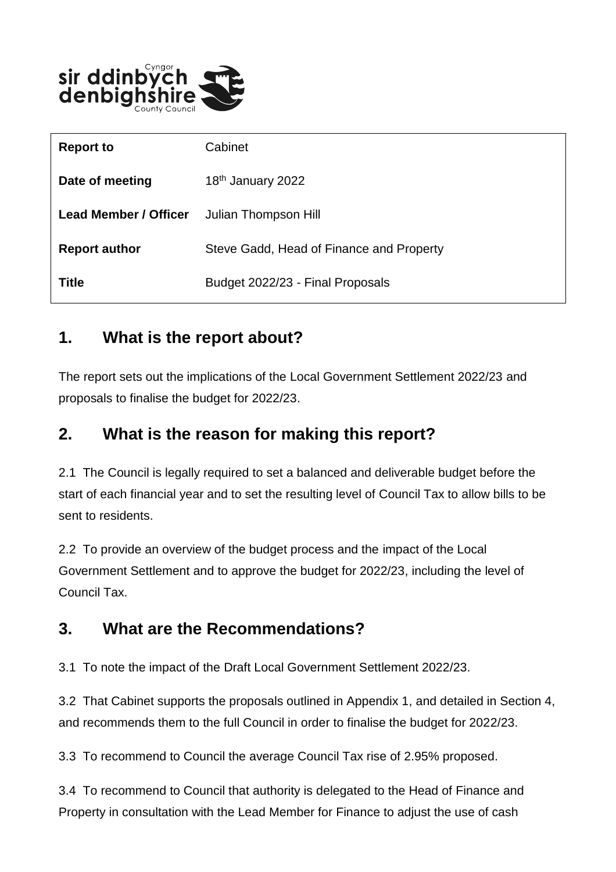

| <b>Report to</b>             | Cabinet                                  |
|------------------------------|------------------------------------------|
| Date of meeting              | 18 <sup>th</sup> January 2022            |
| <b>Lead Member / Officer</b> | Julian Thompson Hill                     |
| <b>Report author</b>         | Steve Gadd, Head of Finance and Property |
| <b>Title</b>                 | Budget 2022/23 - Final Proposals         |

#### **1. What is the report about?**

The report sets out the implications of the Local Government Settlement 2022/23 and proposals to finalise the budget for 2022/23.

#### **2. What is the reason for making this report?**

2.1 The Council is legally required to set a balanced and deliverable budget before the start of each financial year and to set the resulting level of Council Tax to allow bills to be sent to residents.

2.2 To provide an overview of the budget process and the impact of the Local Government Settlement and to approve the budget for 2022/23, including the level of Council Tax.

#### **3. What are the Recommendations?**

3.1 To note the impact of the Draft Local Government Settlement 2022/23.

3.2 That Cabinet supports the proposals outlined in Appendix 1, and detailed in Section 4, and recommends them to the full Council in order to finalise the budget for 2022/23.

3.3 To recommend to Council the average Council Tax rise of 2.95% proposed.

3.4 To recommend to Council that authority is delegated to the Head of Finance and Property in consultation with the Lead Member for Finance to adjust the use of cash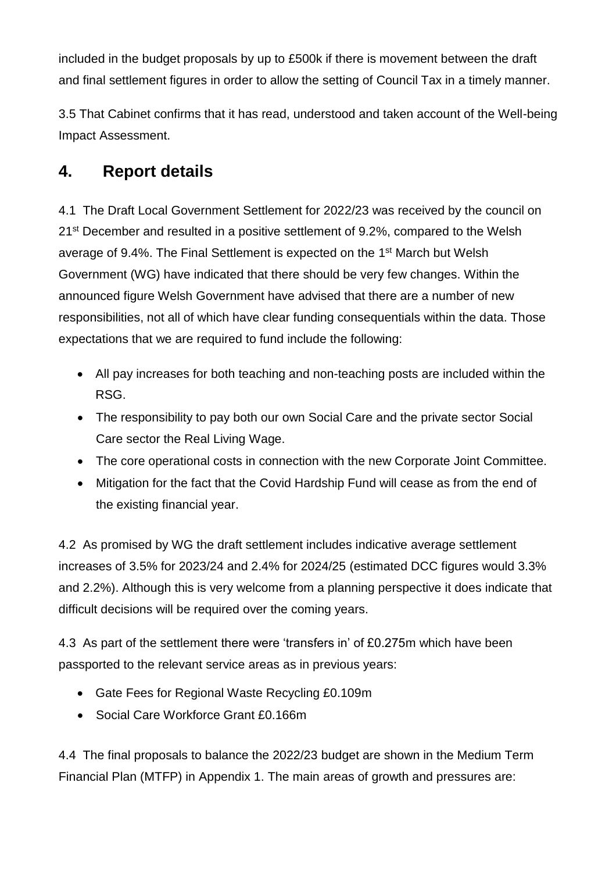included in the budget proposals by up to £500k if there is movement between the draft and final settlement figures in order to allow the setting of Council Tax in a timely manner.

3.5 That Cabinet confirms that it has read, understood and taken account of the Well-being Impact Assessment.

#### **4. Report details**

4.1 The Draft Local Government Settlement for 2022/23 was received by the council on 21<sup>st</sup> December and resulted in a positive settlement of 9.2%, compared to the Welsh average of 9.4%. The Final Settlement is expected on the 1<sup>st</sup> March but Welsh Government (WG) have indicated that there should be very few changes. Within the announced figure Welsh Government have advised that there are a number of new responsibilities, not all of which have clear funding consequentials within the data. Those expectations that we are required to fund include the following:

- All pay increases for both teaching and non-teaching posts are included within the RSG.
- The responsibility to pay both our own Social Care and the private sector Social Care sector the Real Living Wage.
- The core operational costs in connection with the new Corporate Joint Committee.
- Mitigation for the fact that the Covid Hardship Fund will cease as from the end of the existing financial year.

4.2 As promised by WG the draft settlement includes indicative average settlement increases of 3.5% for 2023/24 and 2.4% for 2024/25 (estimated DCC figures would 3.3% and 2.2%). Although this is very welcome from a planning perspective it does indicate that difficult decisions will be required over the coming years.

4.3 As part of the settlement there were 'transfers in' of £0.275m which have been passported to the relevant service areas as in previous years:

- Gate Fees for Regional Waste Recycling £0.109m
- Social Care Workforce Grant £0.166m

4.4 The final proposals to balance the 2022/23 budget are shown in the Medium Term Financial Plan (MTFP) in Appendix 1. The main areas of growth and pressures are: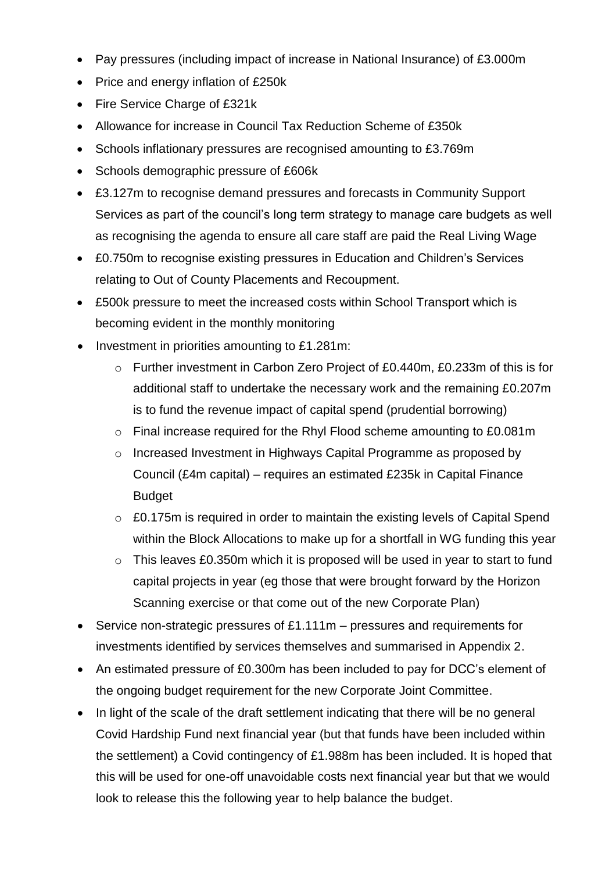- Pay pressures (including impact of increase in National Insurance) of £3.000m
- Price and energy inflation of £250k
- Fire Service Charge of £321k
- Allowance for increase in Council Tax Reduction Scheme of £350k
- Schools inflationary pressures are recognised amounting to £3.769m
- Schools demographic pressure of £606k
- £3.127m to recognise demand pressures and forecasts in Community Support Services as part of the council's long term strategy to manage care budgets as well as recognising the agenda to ensure all care staff are paid the Real Living Wage
- £0.750m to recognise existing pressures in Education and Children's Services relating to Out of County Placements and Recoupment.
- £500k pressure to meet the increased costs within School Transport which is becoming evident in the monthly monitoring
- Investment in priorities amounting to £1.281m:
	- o Further investment in Carbon Zero Project of £0.440m, £0.233m of this is for additional staff to undertake the necessary work and the remaining £0.207m is to fund the revenue impact of capital spend (prudential borrowing)
	- o Final increase required for the Rhyl Flood scheme amounting to £0.081m
	- o Increased Investment in Highways Capital Programme as proposed by Council (£4m capital) – requires an estimated £235k in Capital Finance Budget
	- $\circ$  £0.175m is required in order to maintain the existing levels of Capital Spend within the Block Allocations to make up for a shortfall in WG funding this year
	- $\circ$  This leaves £0.350m which it is proposed will be used in year to start to fund capital projects in year (eg those that were brought forward by the Horizon Scanning exercise or that come out of the new Corporate Plan)
- Service non-strategic pressures of £1.111m pressures and requirements for investments identified by services themselves and summarised in Appendix 2.
- An estimated pressure of £0.300m has been included to pay for DCC's element of the ongoing budget requirement for the new Corporate Joint Committee.
- In light of the scale of the draft settlement indicating that there will be no general Covid Hardship Fund next financial year (but that funds have been included within the settlement) a Covid contingency of £1.988m has been included. It is hoped that this will be used for one-off unavoidable costs next financial year but that we would look to release this the following year to help balance the budget.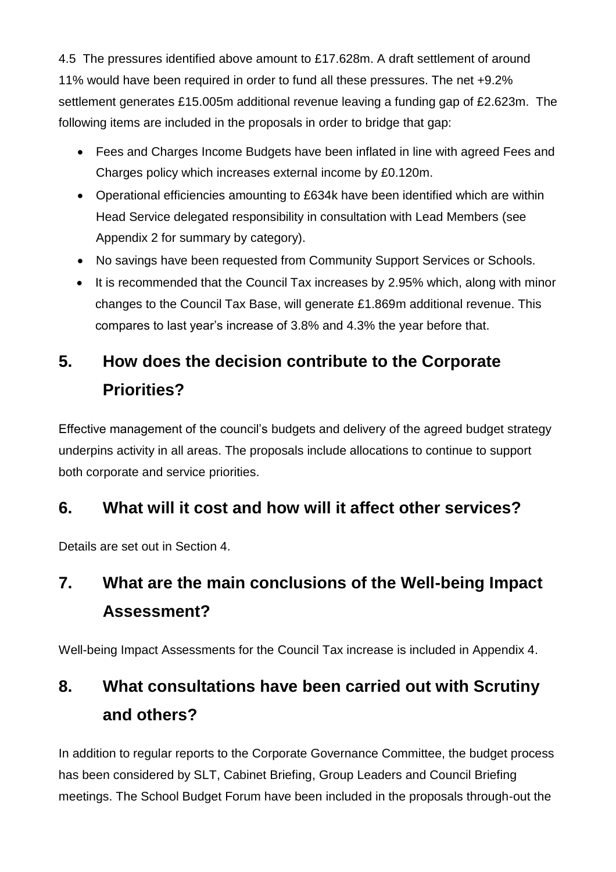4.5 The pressures identified above amount to £17.628m. A draft settlement of around 11% would have been required in order to fund all these pressures. The net +9.2% settlement generates £15.005m additional revenue leaving a funding gap of £2.623m. The following items are included in the proposals in order to bridge that gap:

- Fees and Charges Income Budgets have been inflated in line with agreed Fees and Charges policy which increases external income by £0.120m.
- Operational efficiencies amounting to £634k have been identified which are within Head Service delegated responsibility in consultation with Lead Members (see Appendix 2 for summary by category).
- No savings have been requested from Community Support Services or Schools.
- It is recommended that the Council Tax increases by 2.95% which, along with minor changes to the Council Tax Base, will generate £1.869m additional revenue. This compares to last year's increase of 3.8% and 4.3% the year before that.

# **5. How does the decision contribute to the Corporate Priorities?**

Effective management of the council's budgets and delivery of the agreed budget strategy underpins activity in all areas. The proposals include allocations to continue to support both corporate and service priorities.

### **6. What will it cost and how will it affect other services?**

Details are set out in Section 4.

# **7. What are the main conclusions of the Well-being Impact Assessment?**

Well-being Impact Assessments for the Council Tax increase is included in Appendix 4.

# **8. What consultations have been carried out with Scrutiny and others?**

In addition to regular reports to the Corporate Governance Committee, the budget process has been considered by SLT, Cabinet Briefing, Group Leaders and Council Briefing meetings. The School Budget Forum have been included in the proposals through-out the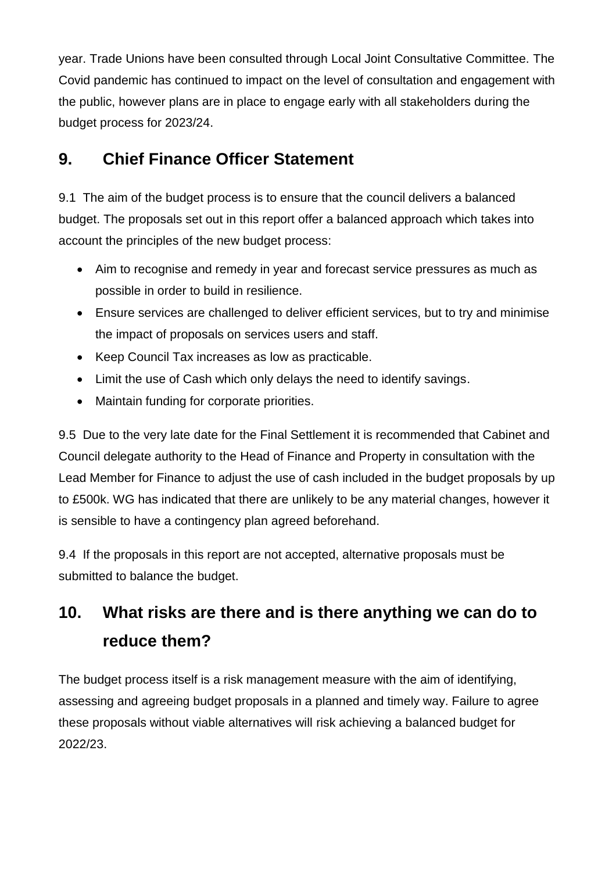year. Trade Unions have been consulted through Local Joint Consultative Committee. The Covid pandemic has continued to impact on the level of consultation and engagement with the public, however plans are in place to engage early with all stakeholders during the budget process for 2023/24.

## **9. Chief Finance Officer Statement**

9.1 The aim of the budget process is to ensure that the council delivers a balanced budget. The proposals set out in this report offer a balanced approach which takes into account the principles of the new budget process:

- Aim to recognise and remedy in year and forecast service pressures as much as possible in order to build in resilience.
- Ensure services are challenged to deliver efficient services, but to try and minimise the impact of proposals on services users and staff.
- Keep Council Tax increases as low as practicable.
- Limit the use of Cash which only delays the need to identify savings.
- Maintain funding for corporate priorities.

9.5 Due to the very late date for the Final Settlement it is recommended that Cabinet and Council delegate authority to the Head of Finance and Property in consultation with the Lead Member for Finance to adjust the use of cash included in the budget proposals by up to £500k. WG has indicated that there are unlikely to be any material changes, however it is sensible to have a contingency plan agreed beforehand.

9.4 If the proposals in this report are not accepted, alternative proposals must be submitted to balance the budget.

## **10. What risks are there and is there anything we can do to reduce them?**

The budget process itself is a risk management measure with the aim of identifying, assessing and agreeing budget proposals in a planned and timely way. Failure to agree these proposals without viable alternatives will risk achieving a balanced budget for 2022/23.